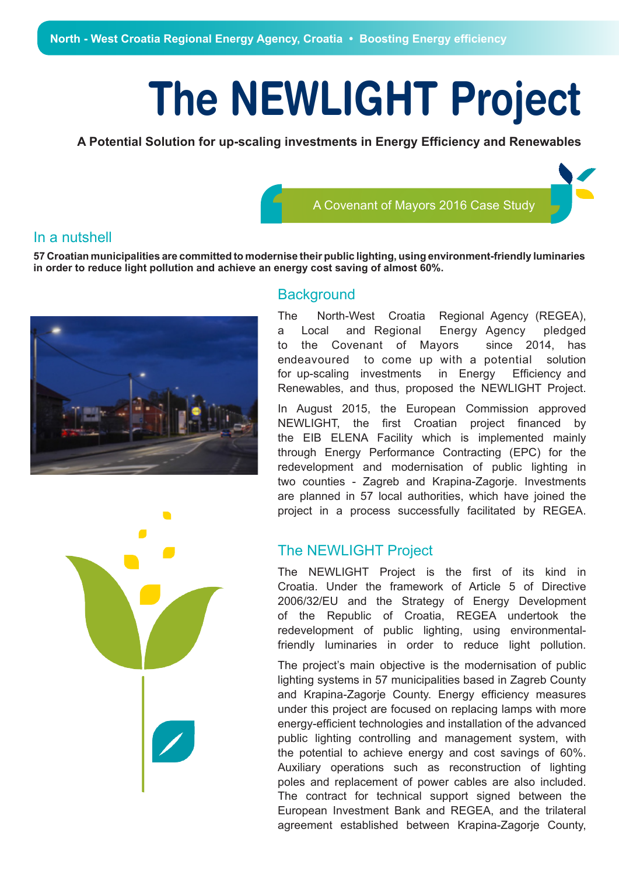## **The NEWLIGHT Project**

**A Potential Solution for up-scaling investments in Energy Efficiency and Renewables**

## In a nutshell

**57 Croatian municipalities are committed to modernise their public lighting, using environment-friendly luminaries in order to reduce light pollution and achieve an energy cost saving of almost 60%.**



## **Background**

The North-West Croatia Regional Agency (REGEA), a Local and Regional Energy Agency pledged to the Covenant of Mayors since 2014, has endeavoured to come up with a potential solution for up-scaling investments in Energy Efficiency and Renewables, and thus, proposed the NEWLIGHT Project.

A Covenant of Mayors 2016 Case Study

In August 2015, the European Commission approved NEWLIGHT, the first Croatian project financed by the EIB ELENA Facility which is implemented mainly through Energy Performance Contracting (EPC) for the redevelopment and modernisation of public lighting in two counties - Zagreb and Krapina-Zagorje. Investments are planned in 57 local authorities, which have joined the project in a process successfully facilitated by REGEA.

## The NEWLIGHT Project

The NEWLIGHT Project is the first of its kind in Croatia. Under the framework of Article 5 of Directive 2006/32/EU and the Strategy of Energy Development of the Republic of Croatia, REGEA undertook the redevelopment of public lighting, using environmentalfriendly luminaries in order to reduce light pollution.

The project's main objective is the modernisation of public lighting systems in 57 municipalities based in Zagreb County and Krapina-Zagorje County. Energy efficiency measures under this project are focused on replacing lamps with more energy-efficient technologies and installation of the advanced public lighting controlling and management system, with the potential to achieve energy and cost savings of 60%. Auxiliary operations such as reconstruction of lighting poles and replacement of power cables are also included. The contract for technical support signed between the European Investment Bank and REGEA, and the trilateral agreement established between Krapina-Zagorje County,